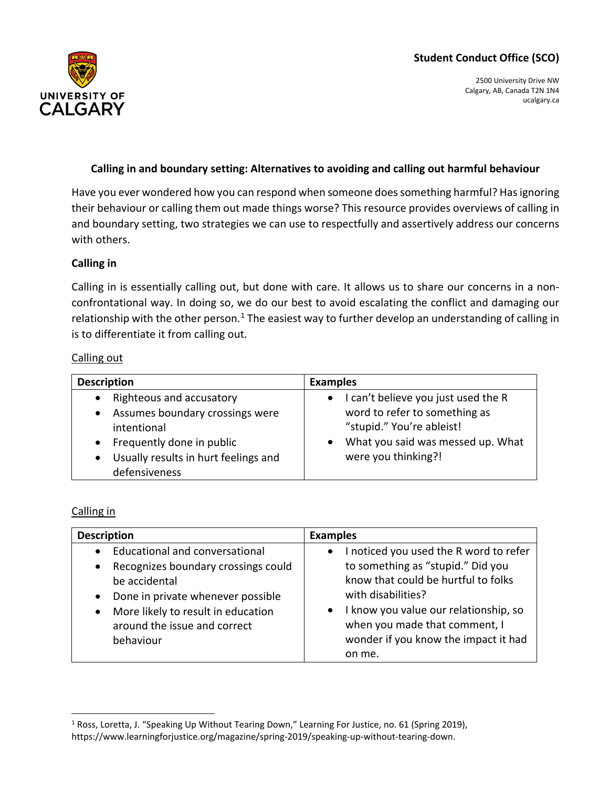# **Student Conduct Office (SCO)**



2500 University Drive NW Calgary, AB, Canada T2N 1N4 ucalgary.ca

## **Calling in and boundary setting: Alternatives to avoiding and calling out harmful behaviour**

Have you ever wondered how you can respond when someone does something harmful? Has ignoring their behaviour or calling them out made things worse? This resource provides overviews of calling in and boundary setting, two strategies we can use to respectfully and assertively address our concerns with others.

### **Calling in**

Calling in is essentially calling out, but done with care. It allows us to share our concerns in a nonconfrontational way. In doing so, we do our best to avoid escalating the conflict and damaging our relationship with the other person.<sup>[1](#page-0-0)</sup> The easiest way to further develop an understanding of calling in is to differentiate it from calling out.

#### Calling out

| <b>Description</b>                                                                                                                             | <b>Examples</b>                                                                                                                                                  |
|------------------------------------------------------------------------------------------------------------------------------------------------|------------------------------------------------------------------------------------------------------------------------------------------------------------------|
| Righteous and accusatory<br>$\bullet$<br>Assumes boundary crossings were<br>$\bullet$<br>intentional<br>Frequently done in public<br>$\bullet$ | I can't believe you just used the R<br>$\bullet$<br>word to refer to something as<br>"stupid." You're ableist!<br>What you said was messed up. What<br>$\bullet$ |
| Usually results in hurt feelings and<br>defensiveness                                                                                          | were you thinking?!                                                                                                                                              |

#### Calling in

| <b>Description</b>                                                                                                                                                     | <b>Examples</b>                                                                                                                                      |
|------------------------------------------------------------------------------------------------------------------------------------------------------------------------|------------------------------------------------------------------------------------------------------------------------------------------------------|
| <b>Educational and conversational</b><br>$\bullet$                                                                                                                     | I noticed you used the R word to refer<br>$\bullet$                                                                                                  |
| Recognizes boundary crossings could<br>$\bullet$<br>be accidental<br>Done in private whenever possible<br>$\bullet$<br>More likely to result in education<br>$\bullet$ | to something as "stupid." Did you<br>know that could be hurtful to folks<br>with disabilities?<br>I know you value our relationship, so<br>$\bullet$ |
| around the issue and correct<br>behaviour                                                                                                                              | when you made that comment, I<br>wonder if you know the impact it had<br>on me.                                                                      |

<span id="page-0-0"></span><sup>&</sup>lt;sup>1</sup> Ross, Loretta, J. "Speaking Up Without Tearing Down," Learning For Justice, no. 61 (Spring 2019), https://www.learningforjustice.org/magazine/spring-2019/speaking-up-without-tearing-down.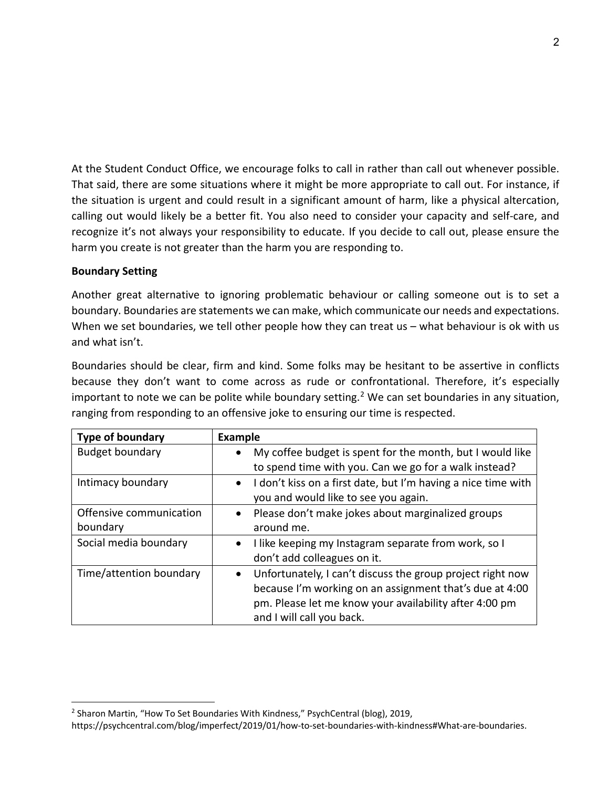At the Student Conduct Office, we encourage folks to call in rather than call out whenever possible. That said, there are some situations where it might be more appropriate to call out. For instance, if the situation is urgent and could result in a significant amount of harm, like a physical altercation, calling out would likely be a better fit. You also need to consider your capacity and self-care, and recognize it's not always your responsibility to educate. If you decide to call out, please ensure the harm you create is not greater than the harm you are responding to.

### **Boundary Setting**

Another great alternative to ignoring problematic behaviour or calling someone out is to set a boundary. Boundaries are statements we can make, which communicate our needs and expectations. When we set boundaries, we tell other people how they can treat us – what behaviour is ok with us and what isn't.

Boundaries should be clear, firm and kind. Some folks may be hesitant to be assertive in conflicts because they don't want to come across as rude or confrontational. Therefore, it's especially important to note we can be polite while boundary setting.<sup>[2](#page-1-0)</sup> We can set boundaries in any situation, ranging from responding to an offensive joke to ensuring our time is respected.

| <b>Type of boundary</b> | <b>Example</b>                                                          |
|-------------------------|-------------------------------------------------------------------------|
| <b>Budget boundary</b>  | My coffee budget is spent for the month, but I would like<br>$\bullet$  |
|                         | to spend time with you. Can we go for a walk instead?                   |
| Intimacy boundary       | • I don't kiss on a first date, but I'm having a nice time with         |
|                         | you and would like to see you again.                                    |
| Offensive communication | • Please don't make jokes about marginalized groups                     |
| boundary                | around me.                                                              |
| Social media boundary   | • I like keeping my Instagram separate from work, so I                  |
|                         | don't add colleagues on it.                                             |
| Time/attention boundary | Unfortunately, I can't discuss the group project right now<br>$\bullet$ |
|                         | because I'm working on an assignment that's due at 4:00                 |
|                         | pm. Please let me know your availability after 4:00 pm                  |
|                         | and I will call you back.                                               |

<span id="page-1-0"></span><sup>&</sup>lt;sup>2</sup> Sharon Martin, "How To Set Boundaries With Kindness," PsychCentral (blog), 2019, https://psychcentral.com/blog/imperfect/2019/01/how-to-set-boundaries-with-kindness#What-are-boundaries.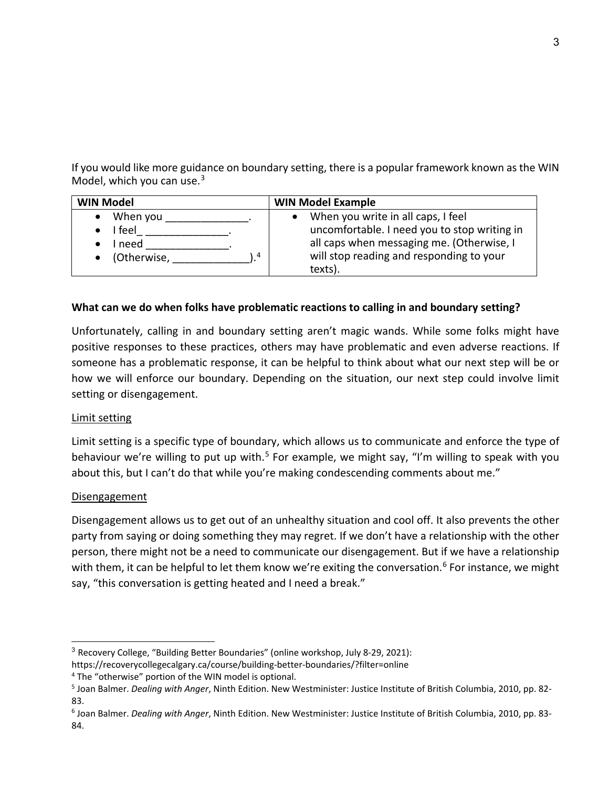If you would like more guidance on boundary setting, there is a popular framework known as the WIN Model, which you can use.<sup>[3](#page-2-0)</sup>

| <b>WIN Model</b> | <b>WIN Model Example</b>                     |
|------------------|----------------------------------------------|
| When you         | When you write in all caps, I feel           |
| feel             | uncomfortable. I need you to stop writing in |
| I need           | all caps when messaging me. (Otherwise, I    |
| • (Otherwise,    | will stop reading and responding to your     |
| 4                | texts).                                      |

## **What can we do when folks have problematic reactions to calling in and boundary setting?**

Unfortunately, calling in and boundary setting aren't magic wands. While some folks might have positive responses to these practices, others may have problematic and even adverse reactions. If someone has a problematic response, it can be helpful to think about what our next step will be or how we will enforce our boundary. Depending on the situation, our next step could involve limit setting or disengagement.

## Limit setting

Limit setting is a specific type of boundary, which allows us to communicate and enforce the type of behaviour we're willing to put up with.<sup>[5](#page-2-2)</sup> For example, we might say, "I'm willing to speak with you about this, but I can't do that while you're making condescending comments about me."

## **Disengagement**

Disengagement allows us to get out of an unhealthy situation and cool off. It also prevents the other party from saying or doing something they may regret. If we don't have a relationship with the other person, there might not be a need to communicate our disengagement. But if we have a relationship with them, it can be helpful to let them know we're exiting the conversation.<sup>[6](#page-2-3)</sup> For instance, we might say, "this conversation is getting heated and I need a break."

<span id="page-2-0"></span><sup>3</sup> Recovery College, "Building Better Boundaries" (online workshop, July 8-29, 2021):

https://recoverycollegecalgary.ca/course/building-better-boundaries/?filter=online

<span id="page-2-1"></span><sup>4</sup> The "otherwise" portion of the WIN model is optional.

<span id="page-2-2"></span><sup>5</sup> Joan Balmer. *Dealing with Anger*, Ninth Edition. New Westminister: Justice Institute of British Columbia, 2010, pp. 82- 83.

<span id="page-2-3"></span><sup>6</sup> Joan Balmer. *Dealing with Anger*, Ninth Edition. New Westminister: Justice Institute of British Columbia, 2010, pp. 83- 84.